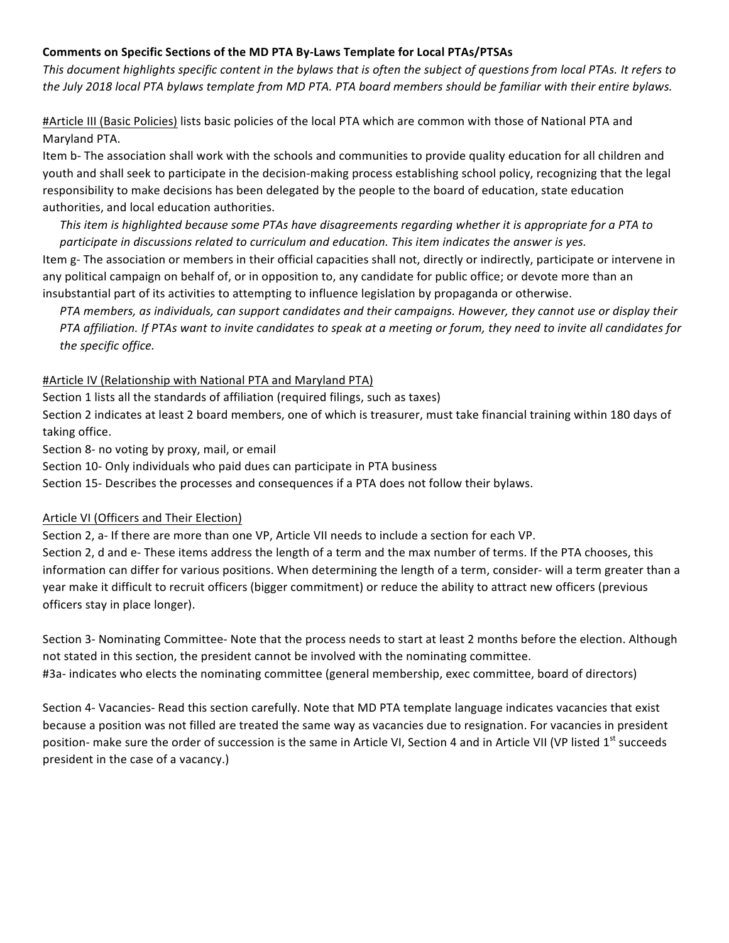# Comments on Specific Sections of the MD PTA By-Laws Template for Local PTAs/PTSAs

This document highlights specific content in the bylaws that is often the subject of questions from local PTAs. It refers to *the July 2018 local PTA bylaws template from MD PTA. PTA board members should be familiar with their entire bylaws.* 

#Article III (Basic Policies) lists basic policies of the local PTA which are common with those of National PTA and Maryland PTA.

Item b- The association shall work with the schools and communities to provide quality education for all children and youth and shall seek to participate in the decision-making process establishing school policy, recognizing that the legal responsibility to make decisions has been delegated by the people to the board of education, state education authorities, and local education authorities.

*This* item is highlighted because some PTAs have disagreements regarding whether it is appropriate for a PTA to participate in discussions related to curriculum and education. This item indicates the answer is yes. Item g- The association or members in their official capacities shall not, directly or indirectly, participate or intervene in any political campaign on behalf of, or in opposition to, any candidate for public office; or devote more than an insubstantial part of its activities to attempting to influence legislation by propaganda or otherwise.

*PTA* members, as individuals, can support candidates and their campaigns. However, they cannot use or display their *PTA* affiliation. If PTAs want to invite candidates to speak at a meeting or forum, they need to invite all candidates for *the specific office.*

## #Article IV (Relationship with National PTA and Maryland PTA)

Section 1 lists all the standards of affiliation (required filings, such as taxes)

Section 2 indicates at least 2 board members, one of which is treasurer, must take financial training within 180 days of taking office.

Section 8- no voting by proxy, mail, or email

Section 10- Only individuals who paid dues can participate in PTA business

Section 15- Describes the processes and consequences if a PTA does not follow their bylaws.

# Article VI (Officers and Their Election)

Section 2, a- If there are more than one VP, Article VII needs to include a section for each VP.

Section 2, d and e- These items address the length of a term and the max number of terms. If the PTA chooses, this information can differ for various positions. When determining the length of a term, consider- will a term greater than a year make it difficult to recruit officers (bigger commitment) or reduce the ability to attract new officers (previous officers stay in place longer).

Section 3- Nominating Committee- Note that the process needs to start at least 2 months before the election. Although not stated in this section, the president cannot be involved with the nominating committee. #3a- indicates who elects the nominating committee (general membership, exec committee, board of directors)

Section 4- Vacancies- Read this section carefully. Note that MD PTA template language indicates vacancies that exist because a position was not filled are treated the same way as vacancies due to resignation. For vacancies in president position- make sure the order of succession is the same in Article VI, Section 4 and in Article VII (VP listed 1<sup>st</sup> succeeds president in the case of a vacancy.)